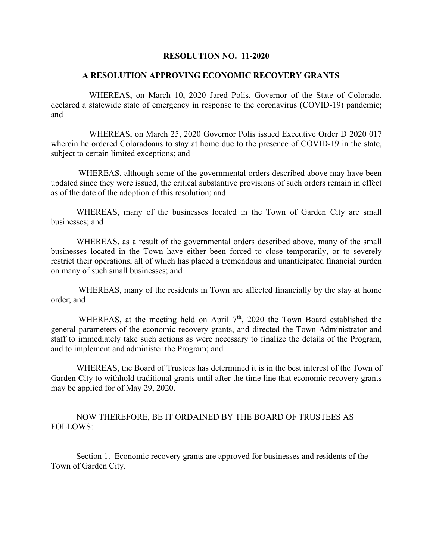## **RESOLUTION NO. 11-2020**

## **A RESOLUTION APPROVING ECONOMIC RECOVERY GRANTS**

WHEREAS, on March 10, 2020 Jared Polis, Governor of the State of Colorado, declared a statewide state of emergency in response to the coronavirus (COVID-19) pandemic; and

WHEREAS, on March 25, 2020 Governor Polis issued Executive Order D 2020 017 wherein he ordered Coloradoans to stay at home due to the presence of COVID-19 in the state, subject to certain limited exceptions; and

WHEREAS, although some of the governmental orders described above may have been updated since they were issued, the critical substantive provisions of such orders remain in effect as of the date of the adoption of this resolution; and

WHEREAS, many of the businesses located in the Town of Garden City are small businesses; and

WHEREAS, as a result of the governmental orders described above, many of the small businesses located in the Town have either been forced to close temporarily, or to severely restrict their operations, all of which has placed a tremendous and unanticipated financial burden on many of such small businesses; and

WHEREAS, many of the residents in Town are affected financially by the stay at home order; and

WHEREAS, at the meeting held on April  $7<sup>th</sup>$ , 2020 the Town Board established the general parameters of the economic recovery grants, and directed the Town Administrator and staff to immediately take such actions as were necessary to finalize the details of the Program, and to implement and administer the Program; and

WHEREAS, the Board of Trustees has determined it is in the best interest of the Town of Garden City to withhold traditional grants until after the time line that economic recovery grants may be applied for of May 29, 2020.

## NOW THEREFORE, BE IT ORDAINED BY THE BOARD OF TRUSTEES AS FOLLOWS:

Section 1. Economic recovery grants are approved for businesses and residents of the Town of Garden City.